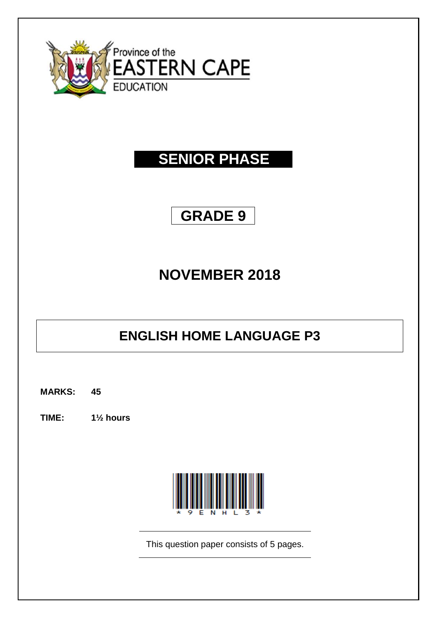

# **SENIOR PHASE**

## **GRADE 9**

# **NOVEMBER 2018**

## **ENGLISH HOME LANGUAGE P3**

**MARKS: 45**

**TIME: 1½ hours**



This question paper consists of 5 pages.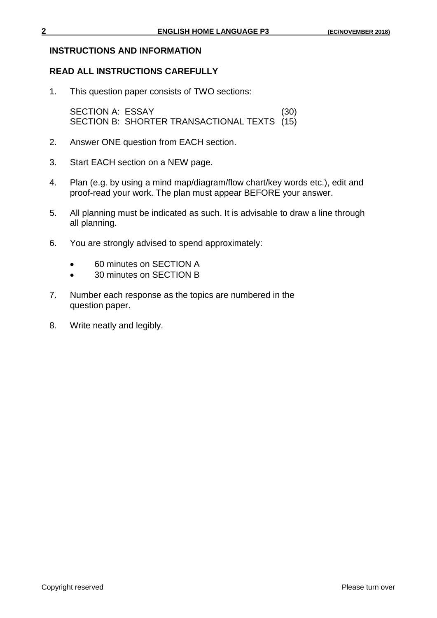## **INSTRUCTIONS AND INFORMATION**

## **READ ALL INSTRUCTIONS CAREFULLY**

1. This question paper consists of TWO sections:

SECTION A: ESSAY (30) SECTION B: SHORTER TRANSACTIONAL TEXTS (15)

- 2. Answer ONE question from EACH section.
- 3. Start EACH section on a NEW page.
- 4. Plan (e.g. by using a mind map/diagram/flow chart/key words etc.), edit and proof-read your work. The plan must appear BEFORE your answer.
- 5. All planning must be indicated as such. It is advisable to draw a line through all planning.
- 6. You are strongly advised to spend approximately:
	- 60 minutes on SECTION A
	- 30 minutes on SECTION B
- 7. Number each response as the topics are numbered in the question paper.
- 8. Write neatly and legibly.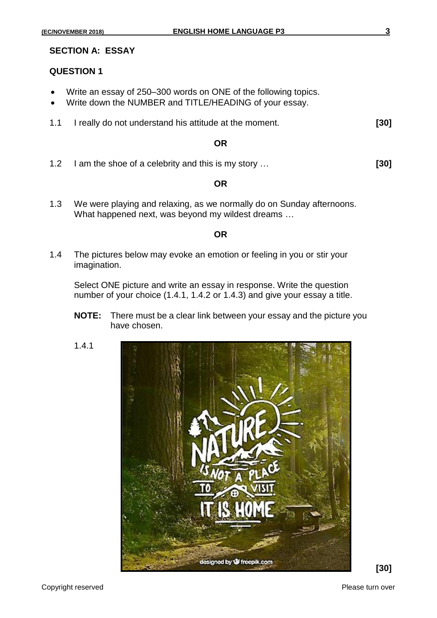#### **SECTION A: ESSAY**

### **QUESTION 1**

- Write an essay of 250–300 words on ONE of the following topics.
- Write down the NUMBER and TITLE/HEADING of your essay.
- 1.1 I really do not understand his attitude at the moment. **[30]**

#### **OR**

1.2 I am the shoe of a celebrity and this is my story … **[30]**

#### **OR**

1.3 We were playing and relaxing, as we normally do on Sunday afternoons. What happened next, was beyond my wildest dreams …

#### **OR**

1.4 The pictures below may evoke an emotion or feeling in you or stir your imagination.

Select ONE picture and write an essay in response. Write the question number of your choice (1.4.1, 1.4.2 or 1.4.3) and give your essay a title.

- **NOTE:** There must be a clear link between your essay and the picture you have chosen.
- 1.4.1



**[30]**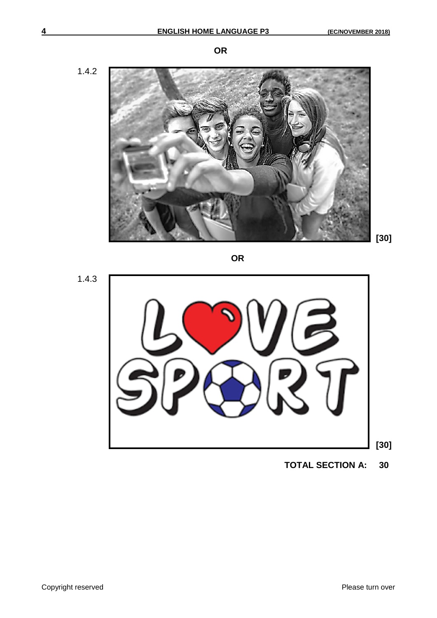1.4.2



**OR**